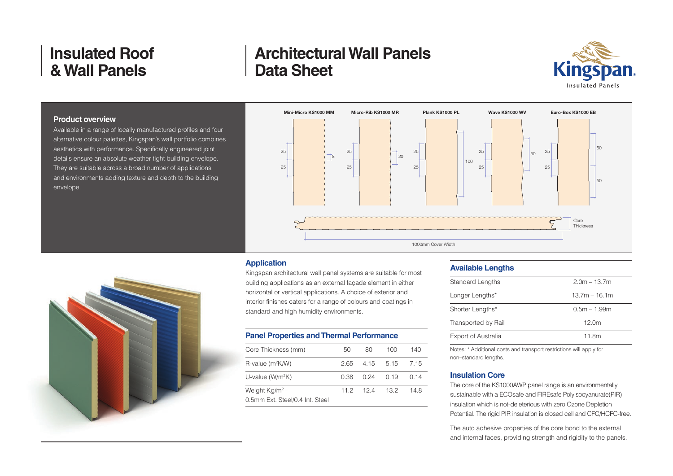## **Architectural Wall Panels Data Sheet**



#### **Product overview**

Available in a range of locally manufactured profiles and four alternative colour palettes, Kingspan's wall portfolio combines aesthetics with performance. Specifically engineered joint details ensure an absolute weather tight building envelope. They are suitable across a broad number of applications and environments adding texture and depth to the building envelope.





#### **Application**

Kingspan architectural wall panel systems are suitable for most building applications as an external façade element in either horizontal or vertical applications. A choice of exterior and interior finishes caters for a range of colours and coatings in standard and high humidity environments.

### **Panel Properties and Thermal Performance**

| Core Thickness (mm)             | 50   | 80          | 100  | 140  |
|---------------------------------|------|-------------|------|------|
| R-value (m <sup>2</sup> K/W)    |      | 265 415 515 |      | 7 15 |
| U-value $(W/m^2K)$              | O 38 | 0.24        | O 19 | O 14 |
| Weight $Kg/m^2$ –               |      | $112$ $124$ | 13.2 | 14 R |
| 0.5mm Ext. Steel/0.4 Int. Steel |      |             |      |      |

### **Available Lengths**

| Standard Lengths           | $2.0m - 13.7m$    |
|----------------------------|-------------------|
| Longer Lengths*            | $13.7m - 16.1m$   |
| Shorter Lengths*           | $0.5m - 1.99m$    |
| Transported by Rail        | 12.0 <sub>m</sub> |
| <b>Export of Australia</b> | 11.8m             |
|                            |                   |

Notes: \* Additional costs and transport restrictions will apply for non–standard lengths.

#### **Insulation Core**

The core of the KS1000AWP panel range is an environmentally sustainable with a ECOsafe and FIREsafe Polyisocyanurate(PIR) insulation which is not-deleterious with zero Ozone Depletion Potential. The rigid PIR insulation is closed cell and CFC/HCFC-free.

The auto adhesive properties of the core bond to the external and internal faces, providing strength and rigidity to the panels.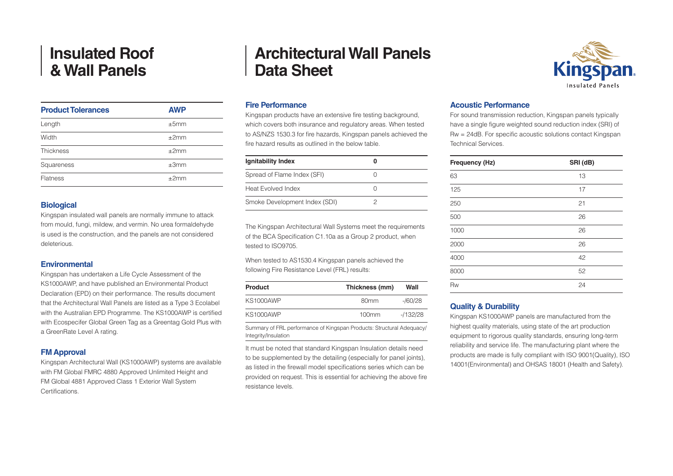| <b>Product Tolerances</b> | <b>AWP</b> |
|---------------------------|------------|
| Length                    | ±5mm       |
| Width                     | ±2mm       |
| <b>Thickness</b>          | ±2mm       |
| Squareness                | ±3mm       |
| <b>Flatness</b>           | $+2mm$     |

#### **Biological**

Kingspan insulated wall panels are normally immune to attack from mould, fungi, mildew, and vermin. No urea formaldehyde is used is the construction, and the panels are not considered deleterious.

#### **Environmental**

Kingspan has undertaken a Life Cycle Assessment of the KS1000AWP, and have published an Environmental Product Declaration (EPD) on their performance. The results document that the Architectural Wall Panels are listed as a Type 3 Ecolabel with the Australian EPD Programme. The KS1000AWP is certified with Ecospecifer Global Green Tag as a Greentag Gold Plus with a GreenRate Level A rating.

#### **FM Approval**

Kingspan Architectural Wall (KS1000AWP) systems are available with FM Global FMRC 4880 Approved Unlimited Height and FM Global 4881 Approved Class 1 Exterior Wall System Certifications.

## **Architectural Wall Panels Data Sheet**

#### **Fire Performance**

Kingspan products have an extensive fire testing background, which covers both insurance and regulatory areas. When tested to AS/NZS 1530.3 for fire hazards, Kingspan panels achieved the fire hazard results as outlined in the below table.

| Ignitability Index            |  |
|-------------------------------|--|
| Spread of Flame Index (SFI)   |  |
| Heat Evolved Index            |  |
| Smoke Development Index (SDI) |  |

The Kingspan Architectural Wall Systems meet the requirements of the BCA Specification C1.10a as a Group 2 product, when tested to ISO9705.

When tested to AS1530.4 Kingspan panels achieved the following Fire Resistance Level (FRL) results:

| <b>Product</b>   | Thickness (mm)   | Wall       |
|------------------|------------------|------------|
| <b>KS1000AWP</b> | 80 <sub>mm</sub> | -/60/28    |
| <b>KS1000AWP</b> | 100mm            | $-1132/28$ |

Summary of FRL performance of Kingspan Products: Structural Adequacy/ Integrity/Insulation

It must be noted that standard Kingspan Insulation details need to be supplemented by the detailing (especially for panel joints), as listed in the firewall model specifications series which can be provided on request. This is essential for achieving the above fire resistance levels.



### **Acoustic Performance**

For sound transmission reduction, Kingspan panels typically have a single figure weighted sound reduction index (SRI) of Rw = 24dB. For specific acoustic solutions contact Kingspan Technical Services.

| Frequency (Hz) | SRI (dB) |
|----------------|----------|
| 63             | 13       |
| 125            | 17       |
| 250            | 21       |
| 500            | 26       |
| 1000           | 26       |
| 2000           | 26       |
| 4000           | 42       |
| 8000           | 52       |
| Rw             | 24       |

#### **Quality & Durability**

Kingspan KS1000AWP panels are manufactured from the highest quality materials, using state of the art production equipment to rigorous quality standards, ensuring long-term reliability and service life. The manufacturing plant where the products are made is fully compliant with ISO 9001(Quality), ISO 14001(Environmental) and OHSAS 18001 (Health and Safety).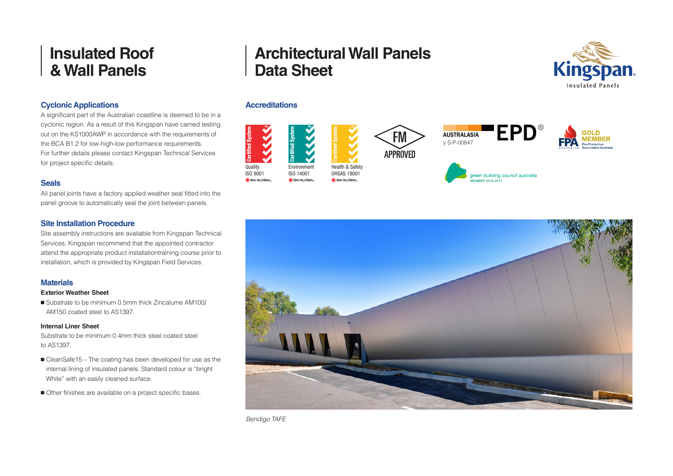### **Cyclonic Applications**

A significant part of the Australian coastline is deemed to be in a cyclonic region. As a result of this Kingspan have carried testing out on the KS1000AWP in accordance with the requirements of the BCA B1.2 for low-high-low performance requirements. For further details please contact Kingspan Technical Services for project specific details.

### **Seals**

All panel joints have a factory applied weather seal fitted into the panel groove to automatically seal the joint between panels.

### **Site Installation Procedure**

Site assembly instructions are available from Kingspan Technical Services. Kingspan recommend that the appointed contractor attend the appropriate product installationtraining course prior to installation, which is provided by Kingspan Field Services.

### **Materials**

#### **Exterior Weather Sheet**

■ Substrate to be minimum 0.5mm thick Zincalume AM100/ AM150 coated steel to AS1397.

#### **Internal Liner Sheet**

Substrate to be minimum 0.4mm thick steel coated steel to AS1397.

- CleanSafe15 The coating has been developed for use as the internal lining of insulated panels. Standard colour is "bright White" with an easily cleaned surface.
- Other finishes are available on a project specific bases.

# **Architectural Wall Panels Data Sheet**

### **Accreditations**